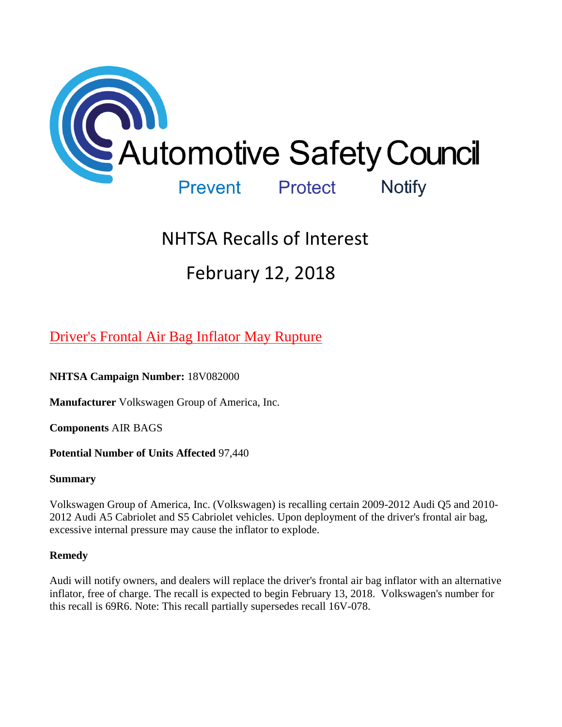

# NHTSA Recalls of Interest

# February 12, 2018

## [Driver's Frontal Air Bag Inflator May Rupture](https://www.nhtsa.gov/recalls?nhtsaId=18V082#recalls380)

## **NHTSA Campaign Number:** 18V082000

**Manufacturer** Volkswagen Group of America, Inc.

**Components** AIR BAGS

## **Potential Number of Units Affected** 97,440

#### **Summary**

Volkswagen Group of America, Inc. (Volkswagen) is recalling certain 2009-2012 Audi Q5 and 2010- 2012 Audi A5 Cabriolet and S5 Cabriolet vehicles. Upon deployment of the driver's frontal air bag, excessive internal pressure may cause the inflator to explode.

## **Remedy**

Audi will notify owners, and dealers will replace the driver's frontal air bag inflator with an alternative inflator, free of charge. The recall is expected to begin February 13, 2018. Volkswagen's number for this recall is 69R6. Note: This recall partially supersedes recall 16V-078.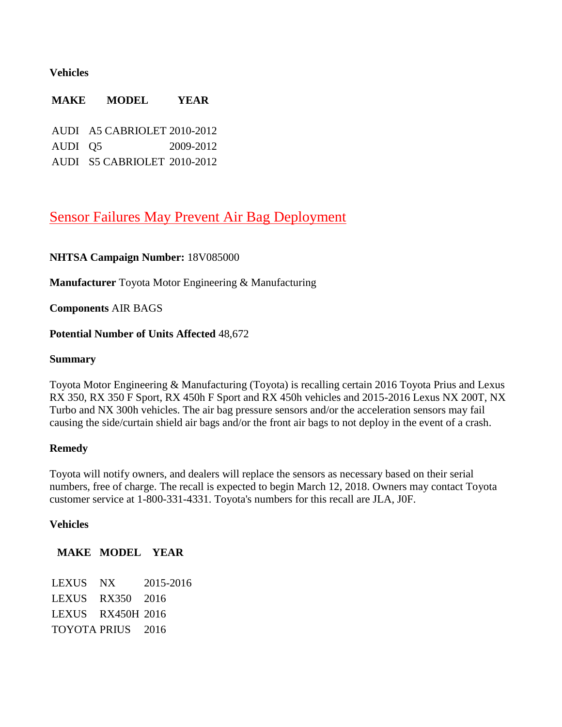#### **Vehicles**

# **MAKE MODEL YEAR** AUDI A5 CABRIOLET 2010-2012 AUDI Q5 2009-2012

AUDI S5 CABRIOLET 2010-2012

## [Sensor Failures May Prevent Air Bag Deployment](https://www.nhtsa.gov/recalls?nhtsaId=18V085#recalls380)

#### **NHTSA Campaign Number:** 18V085000

**Manufacturer** Toyota Motor Engineering & Manufacturing

**Components** AIR BAGS

#### **Potential Number of Units Affected** 48,672

#### **Summary**

Toyota Motor Engineering & Manufacturing (Toyota) is recalling certain 2016 Toyota Prius and Lexus RX 350, RX 350 F Sport, RX 450h F Sport and RX 450h vehicles and 2015-2016 Lexus NX 200T, NX Turbo and NX 300h vehicles. The air bag pressure sensors and/or the acceleration sensors may fail causing the side/curtain shield air bags and/or the front air bags to not deploy in the event of a crash.

#### **Remedy**

Toyota will notify owners, and dealers will replace the sensors as necessary based on their serial numbers, free of charge. The recall is expected to begin March 12, 2018. Owners may contact Toyota customer service at 1-800-331-4331. Toyota's numbers for this recall are JLA, J0F.

#### **Vehicles**

**MAKE MODEL YEAR**

LEXUS NX 2015-2016 LEXUS RX350 2016 LEXUS RX450H 2016 TOYOTA PRIUS 2016